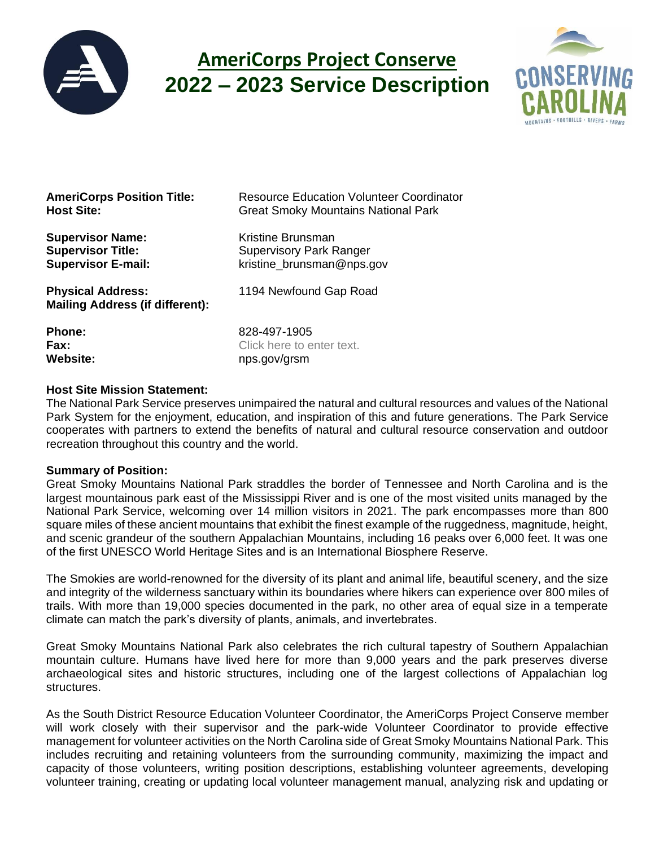

# **AmeriCorps Project Conserve 2022 – 2023 Service Description**



**Supervisor Name: Kristine Brunsman** 

**Physical Address:** 1194 Newfound Gap Road **Mailing Address (if different):**

**AmeriCorps Position Title:** Resource Education Volunteer Coordinator **Host Site:** Great Smoky Mountains National Park

**Supervisor Title:** Supervisory Park Ranger **Supervisor E-mail: kristine** brunsman@nps.gov

**Phone:** 828-497-1905 **Fax:** Click here to enter text. Website: many nps.gov/grsm

### **Host Site Mission Statement:**

The National Park Service preserves unimpaired the natural and cultural resources and values of the National Park System for the enjoyment, education, and inspiration of this and future generations. The Park Service cooperates with partners to extend the benefits of natural and cultural resource conservation and outdoor recreation throughout this country and the world.

### **Summary of Position:**

Great Smoky Mountains National Park straddles the border of Tennessee and North Carolina and is the largest mountainous park east of the Mississippi River and is one of the most visited units managed by the National Park Service, welcoming over 14 million visitors in 2021. The park encompasses more than 800 square miles of these ancient mountains that exhibit the finest example of the ruggedness, magnitude, height, and scenic grandeur of the southern Appalachian Mountains, including 16 peaks over 6,000 feet. It was one of the first UNESCO World Heritage Sites and is an International Biosphere Reserve.

The Smokies are world-renowned for the diversity of its plant and animal life, beautiful scenery, and the size and integrity of the wilderness sanctuary within its boundaries where hikers can experience over 800 miles of trails. With more than 19,000 species documented in the park, no other area of equal size in a temperate climate can match the park's diversity of plants, animals, and invertebrates.

Great Smoky Mountains National Park also celebrates the rich cultural tapestry of Southern Appalachian mountain culture. Humans have lived here for more than 9,000 years and the park preserves diverse archaeological sites and historic structures, including one of the largest collections of Appalachian log structures.

As the South District Resource Education Volunteer Coordinator, the AmeriCorps Project Conserve member will work closely with their supervisor and the park-wide Volunteer Coordinator to provide effective management for volunteer activities on the North Carolina side of Great Smoky Mountains National Park. This includes recruiting and retaining volunteers from the surrounding community, maximizing the impact and capacity of those volunteers, writing position descriptions, establishing volunteer agreements, developing volunteer training, creating or updating local volunteer management manual, analyzing risk and updating or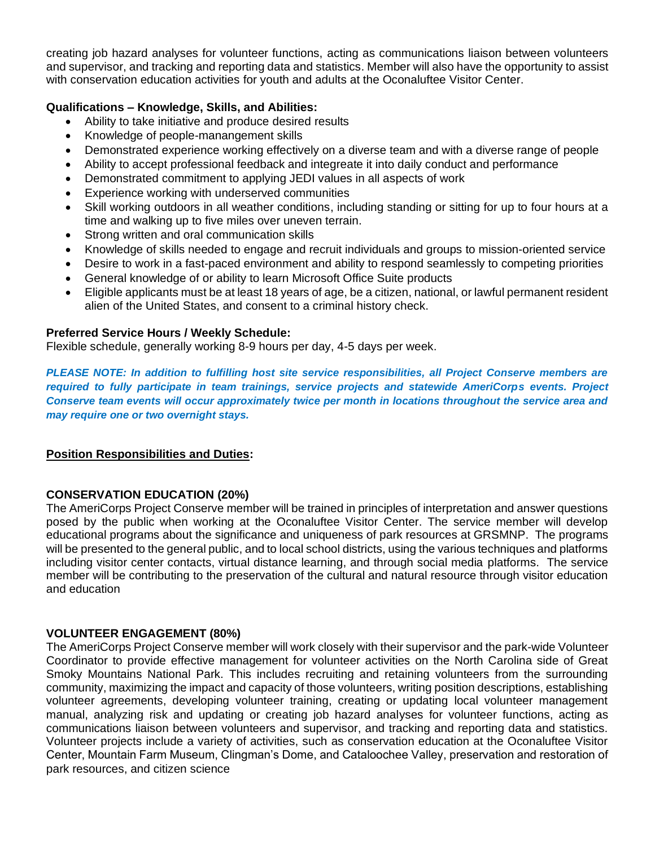creating job hazard analyses for volunteer functions, acting as communications liaison between volunteers and supervisor, and tracking and reporting data and statistics. Member will also have the opportunity to assist with conservation education activities for youth and adults at the Oconaluftee Visitor Center.

## **Qualifications – Knowledge, Skills, and Abilities:**

- Ability to take initiative and produce desired results
- Knowledge of people-manangement skills
- Demonstrated experience working effectively on a diverse team and with a diverse range of people
- Ability to accept professional feedback and integreate it into daily conduct and performance
- Demonstrated commitment to applying JEDI values in all aspects of work
- Experience working with underserved communities
- Skill working outdoors in all weather conditions, including standing or sitting for up to four hours at a time and walking up to five miles over uneven terrain.
- Strong written and oral communication skills
- Knowledge of skills needed to engage and recruit individuals and groups to mission-oriented service
- Desire to work in a fast-paced environment and ability to respond seamlessly to competing priorities
- General knowledge of or ability to learn Microsoft Office Suite products
- Eligible applicants must be at least 18 years of age, be a citizen, national, or lawful permanent resident alien of the United States, and consent to a criminal history check.

### **Preferred Service Hours / Weekly Schedule:**

Flexible schedule, generally working 8-9 hours per day, 4-5 days per week.

*PLEASE NOTE: In addition to fulfilling host site service responsibilities, all Project Conserve members are required to fully participate in team trainings, service projects and statewide AmeriCorps events. Project Conserve team events will occur approximately twice per month in locations throughout the service area and may require one or two overnight stays.*

### **Position Responsibilities and Duties:**

### **CONSERVATION EDUCATION (20%)**

The AmeriCorps Project Conserve member will be trained in principles of interpretation and answer questions posed by the public when working at the Oconaluftee Visitor Center. The service member will develop educational programs about the significance and uniqueness of park resources at GRSMNP. The programs will be presented to the general public, and to local school districts, using the various techniques and platforms including visitor center contacts, virtual distance learning, and through social media platforms. The service member will be contributing to the preservation of the cultural and natural resource through visitor education and education

#### **VOLUNTEER ENGAGEMENT (80%)**

The AmeriCorps Project Conserve member will work closely with their supervisor and the park-wide Volunteer Coordinator to provide effective management for volunteer activities on the North Carolina side of Great Smoky Mountains National Park. This includes recruiting and retaining volunteers from the surrounding community, maximizing the impact and capacity of those volunteers, writing position descriptions, establishing volunteer agreements, developing volunteer training, creating or updating local volunteer management manual, analyzing risk and updating or creating job hazard analyses for volunteer functions, acting as communications liaison between volunteers and supervisor, and tracking and reporting data and statistics. Volunteer projects include a variety of activities, such as conservation education at the Oconaluftee Visitor Center, Mountain Farm Museum, Clingman's Dome, and Cataloochee Valley, preservation and restoration of park resources, and citizen science